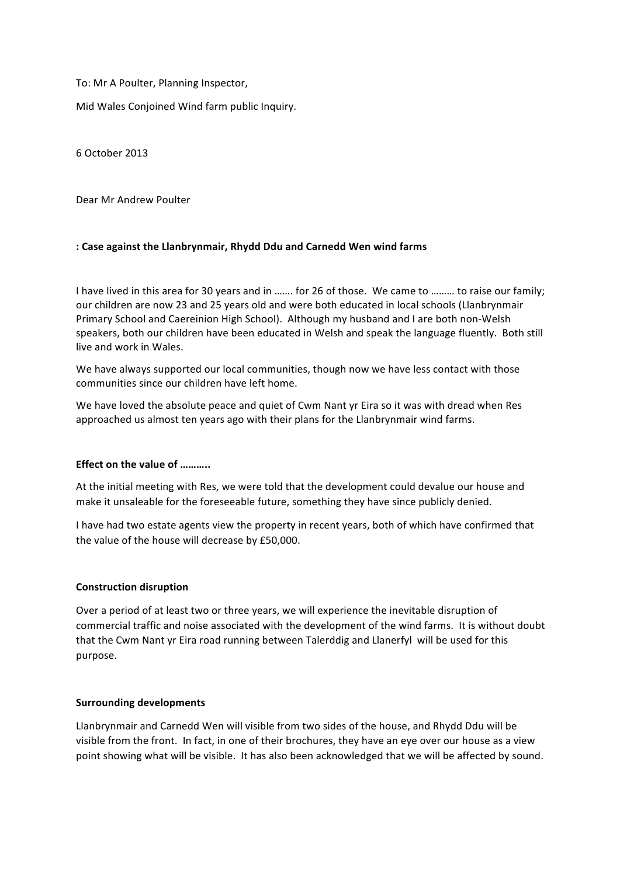To: Mr A Poulter, Planning Inspector,

Mid Wales Conjoined Wind farm public Inquiry.

6 October 2013

Dear Mr Andrew Poulter

# **: Case against the Llanbrynmair, Rhydd Ddu and Carnedd Wen wind farms**

I have lived in this area for 30 years and in ……. for 26 of those. We came to ……… to raise our family; our children are now 23 and 25 years old and were both educated in local schools (Llanbrynmair Primary School and Caereinion High School). Although my husband and I are both non-Welsh speakers, both our children have been educated in Welsh and speak the language fluently. Both still live and work in Wales.

We have always supported our local communities, though now we have less contact with those communities since our children have left home.

We have loved the absolute peace and quiet of Cwm Nant yr Eira so it was with dread when Res approached us almost ten years ago with their plans for the Llanbrynmair wind farms.

### **Effect on the value of ………..**

At the initial meeting with Res, we were told that the development could devalue our house and make it unsaleable for the foreseeable future, something they have since publicly denied.

I have had two estate agents view the property in recent years, both of which have confirmed that the value of the house will decrease by £50,000.

### **Construction disruption**

Over a period of at least two or three years, we will experience the inevitable disruption of commercial traffic and noise associated with the development of the wind farms. It is without doubt that the Cwm Nant yr Eira road running between Talerddig and Llanerfyl will be used for this purpose.

### **Surrounding developments**

Llanbrynmair and Carnedd Wen will visible from two sides of the house, and Rhydd Ddu will be visible from the front. In fact, in one of their brochures, they have an eye over our house as a view point showing what will be visible. It has also been acknowledged that we will be affected by sound.